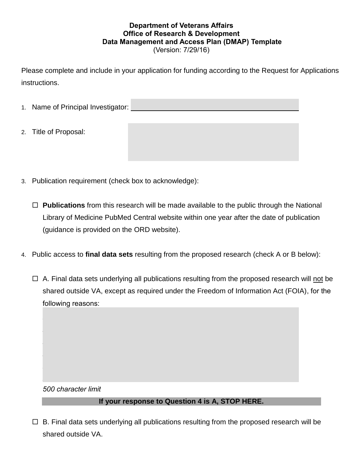### **Department of Veterans Affairs Office of Research & Development Data Management and Access Plan (DMAP) Template** (Version: 7/29/16)

Please complete and include in your application for funding according to the Request for Applications instructions.

- 1. Name of Principal Investigator:
- 2. Title of Proposal:
- 3. Publication requirement (check box to acknowledge):
	- **Publications** from this research will be made available to the public through the National Library of Medicine PubMed Central website within one year after the date of publication (guidance is provided on the ORD website).
- 4. Public access to **final data sets** resulting from the proposed research (check A or B below):
	- $\Box$  A. Final data sets underlying all publications resulting from the proposed research will not be shared outside VA, except as required under the Freedom of Information Act (FOIA), for the following reasons:

*500 character limit*

### **If your response to Question 4 is A, STOP HERE.**

 $\Box$  B. Final data sets underlying all publications resulting from the proposed research will be shared outside VA.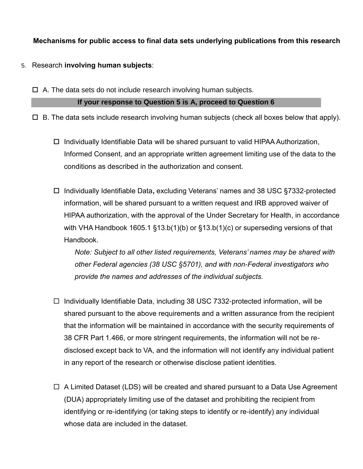# **Mechanisms for public access to final data sets underlying publications from this research**

- 5. Research **involving human subjects**:
	- $\Box$  A. The data sets do not include research involving human subjects.

#### **If your response to Question 5 is A, proceed to Question 6**

- $\Box$  B. The data sets include research involving human subjects (check all boxes below that apply).
	- $\Box$  Individually Identifiable Data will be shared pursuant to valid HIPAA Authorization, Informed Consent, and an appropriate written agreement limiting use of the data to the conditions as described in the authorization and consent.
	- Individually Identifiable Data**,** excluding Veterans' names and 38 USC §7332-protected information, will be shared pursuant to a written request and IRB approved waiver of HIPAA authorization, with the approval of the Under Secretary for Health, in accordance with VHA Handbook 1605.1 §13.b(1)(b) or §13.b(1)(c) or superseding versions of that Handbook.

*Note: Subject to all other listed requirements, Veterans' names may be shared with other Federal agencies (38 USC §5701), and with non-Federal investigators who provide the names and addresses of the individual subjects.*

- $\Box$  Individually Identifiable Data, including 38 USC 7332-protected information, will be shared pursuant to the above requirements and a written assurance from the recipient that the information will be maintained in accordance with the security requirements of 38 CFR Part 1.466, or more stringent requirements, the information will not be redisclosed except back to VA, and the information will not identify any individual patient in any report of the research or otherwise disclose patient identities.
- $\Box$  A Limited Dataset (LDS) will be created and shared pursuant to a Data Use Agreement (DUA) appropriately limiting use of the dataset and prohibiting the recipient from identifying or re-identifying (or taking steps to identify or re-identify) any individual whose data are included in the dataset.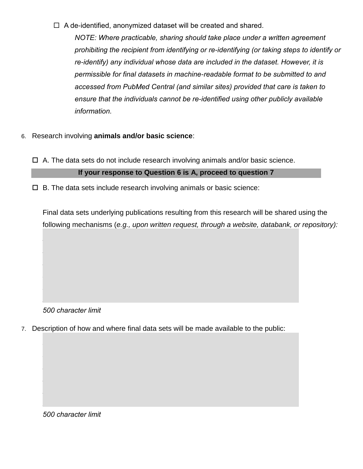$\Box$  A de-identified, anonymized dataset will be created and shared.

*NOTE: Where practicable, sharing should take place under a written agreement prohibiting the recipient from identifying or re-identifying (or taking steps to identify or re-identify) any individual whose data are included in the dataset. However, it is permissible for final datasets in machine-readable format to be submitted to and accessed from PubMed Central (and similar sites) provided that care is taken to ensure that the individuals cannot be re-identified using other publicly available information.*

- 6. Research involving **animals and/or basic science**:
	- $\Box$  A. The data sets do not include research involving animals and/or basic science.

## **If your response to Question 6 is A, proceed to question 7**

 $\Box$  B. The data sets include research involving animals or basic science:

Final data sets underlying publications resulting from this research will be shared using the following mechanisms (*e.g., upon written request, through a website, databank, or repository):*

*500 character limit*

7. Description of how and where final data sets will be made available to the public:

*500 character limit*